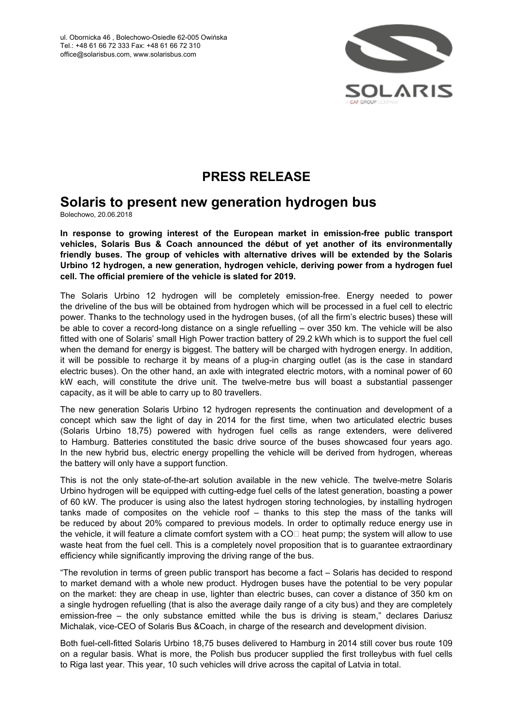

# **PRESS RELEASE**

## **Solaris to present new generation hydrogen bus**

Bolechowo, 20.06.2018

**In response to growing interest of the European market in emission-free public transport vehicles, Solaris Bus & Coach announced the début of yet another of its environmentally friendly buses. The group of vehicles with alternative drives will be extended by the Solaris Urbino 12 hydrogen, a new generation, hydrogen vehicle, deriving power from a hydrogen fuel cell. The official premiere of the vehicle is slated for 2019.**

The Solaris Urbino 12 hydrogen will be completely emission-free. Energy needed to power the driveline of the bus will be obtained from hydrogen which will be processed in a fuel cell to electric power. Thanks to the technology used in the hydrogen buses, (of all the firm's electric buses) these will be able to cover a record-long distance on a single refuelling – over 350 km. The vehicle will be also fitted with one of Solaris' small High Power traction battery of 29.2 kWh which is to support the fuel cell when the demand for energy is biggest. The battery will be charged with hydrogen energy. In addition, it will be possible to recharge it by means of a plug-in charging outlet (as is the case in standard electric buses). On the other hand, an axle with integrated electric motors, with a nominal power of 60 kW each, will constitute the drive unit. The twelve-metre bus will boast a substantial passenger capacity, as it will be able to carry up to 80 travellers.

The new generation Solaris Urbino 12 hydrogen represents the continuation and development of a concept which saw the light of day in 2014 for the first time, when two articulated electric buses (Solaris Urbino 18,75) powered with hydrogen fuel cells as range extenders, were delivered to Hamburg. Batteries constituted the basic drive source of the buses showcased four years ago. In the new hybrid bus, electric energy propelling the vehicle will be derived from hydrogen, whereas the battery will only have a support function.

This is not the only state-of-the-art solution available in the new vehicle. The twelve-metre Solaris Urbino hydrogen will be equipped with cutting-edge fuel cells of the latest generation, boasting a power of 60 kW. The producer is using also the latest hydrogen storing technologies, by installing hydrogen tanks made of composites on the vehicle roof – thanks to this step the mass of the tanks will be reduced by about 20% compared to previous models. In order to optimally reduce energy use in the vehicle, it will feature a climate comfort system with a  $CO<sub>II</sub>$  heat pump; the system will allow to use waste heat from the fuel cell. This is a completely novel proposition that is to guarantee extraordinary efficiency while significantly improving the driving range of the bus.

"The revolution in terms of green public transport has become a fact – Solaris has decided to respond to market demand with a whole new product. Hydrogen buses have the potential to be very popular on the market: they are cheap in use, lighter than electric buses, can cover a distance of 350 km on a single hydrogen refuelling (that is also the average daily range of a city bus) and they are completely emission-free – the only substance emitted while the bus is driving is steam," declares Dariusz Michalak, vice-CEO of Solaris Bus &Coach, in charge of the research and development division.

Both fuel-cell-fitted Solaris Urbino 18,75 buses delivered to Hamburg in 2014 still cover bus route 109 on a regular basis. What is more, the Polish bus producer supplied the first trolleybus with fuel cells to Riga last year. This year, 10 such vehicles will drive across the capital of Latvia in total.